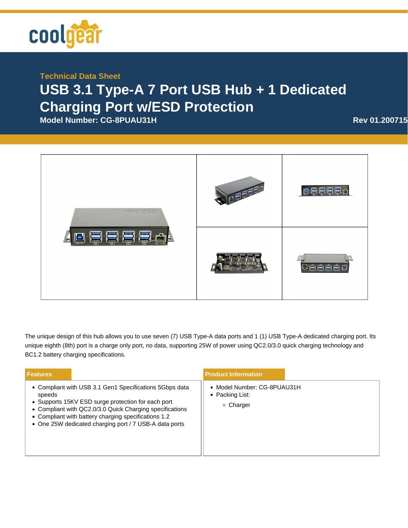

## **Technical Data Sheet USB 3.1 Type-A 7 Port USB Hub + 1 Dedicated Charging Port w/ESD Protection**

**Model Number: CG-8PUAU31H <b>Rev 01.200715** 



The unique design of this hub allows you to use seven (7) USB Type-A data ports and 1 (1) USB Type-A dedicated charging port. Its unique eighth (8th) port is a charge only port, no data, supporting 25W of power using QC2.0/3.0 quick charging technology and BC1.2 battery charging specifications.

| <b>Features</b>                                                                                                                                                                                                                                                                                       | <b>Product Information</b>                                  |
|-------------------------------------------------------------------------------------------------------------------------------------------------------------------------------------------------------------------------------------------------------------------------------------------------------|-------------------------------------------------------------|
| • Compliant with USB 3.1 Gen1 Specifications 5Gbps data<br>speeds<br>• Supports 15KV ESD surge protection for each port<br>• Compliant with QC2.0/3.0 Quick Charging specifications<br>• Compliant with battery charging specifications 1.2<br>• One 25W dedicated charging port / 7 USB-A data ports | • Model Number: CG-8PUAU31H<br>• Packing List:<br>○ Charger |